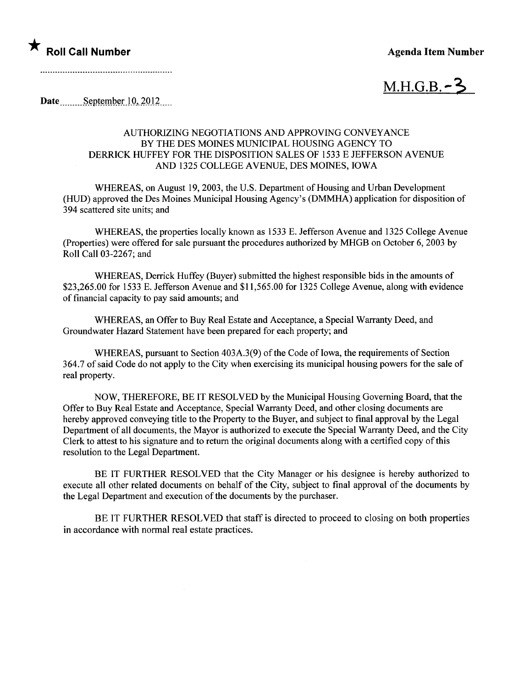

 $M.H.G.B.-3$ 

Date  $\frac{\text{September}10,2012...}{\text{September}10,2012...}$ 

## AUTHORIZING NEGOTIATIONS AND APPROVING CONVEYANCE BY THE DES MOINES MUNICIPAL HOUSING AGENCY TO DERRICK HUFFEY FOR THE DISPOSITION SALES OF 1533 E JEFFERSON AVENUE AND 1325 COLLEGE AVENUE, DES MOINES, IOWA

WHREAS, on August 19,2003, the U.S. Department of Housing and Urban Development (HUD) approved the Des Moines Municipal Housing Agency's (DMMHA) application for disposition of 394 scattered site units; and

WHREAS, the properties locally known as 1533 E. Jefferson Avenue and 1325 College Avenue (Properties) were offered for sale pursuant the procedures authorized by MHGB on October 6,2003 by Roll Call 03-2267; and

WHREAS, Derrick Huffey (Buyer) submitted the highest responsible bids in the amounts of \$23,265.00 for 1533 E. Jefferson Avenue and \$11,565.00 for 1325 College Avenue, along with evidence of financial capacity to pay said amounts; and

WHREAS, an Offer to Buy Real Estate and Acceptance, a Special Warranty Deed, and Groundwater Hazard Statement have been prepared for each property; and

WHEREAS, pursuant to Section 403A.3(9) of the Code of Iowa, the requirements of Section 364.7 of said Code do not apply to the City when exercising its municipal housing powers for the sale of real property.

NOW, THEREFORE, BE IT RESOLVED by the Municipal Housing Governing Board, that the Offer to Buy Real Estate and Acceptance, Special Warranty Deed, and other closing documents are hereby approved conveying title to the Property to the Buyer, and subject to final approval by the Legal Department of all documents, the Mayor is authorized to execute the Special Warranty Deed, and the City Clerk to attest to his signature and to return the original documents along with a certified copy of this resolution to the Legal Department.

BE IT FURTHER RESOLVED that the City Manager or his designee is hereby authorized to execute all other related documents on behalf of the City, subject to final approval of the documents by the Legal Department and execution of the documents by the purchaser.

BE IT FURTHER RESOLVED that staff is directed to proceed to closing on both properties in accordance with normal real estate practices.